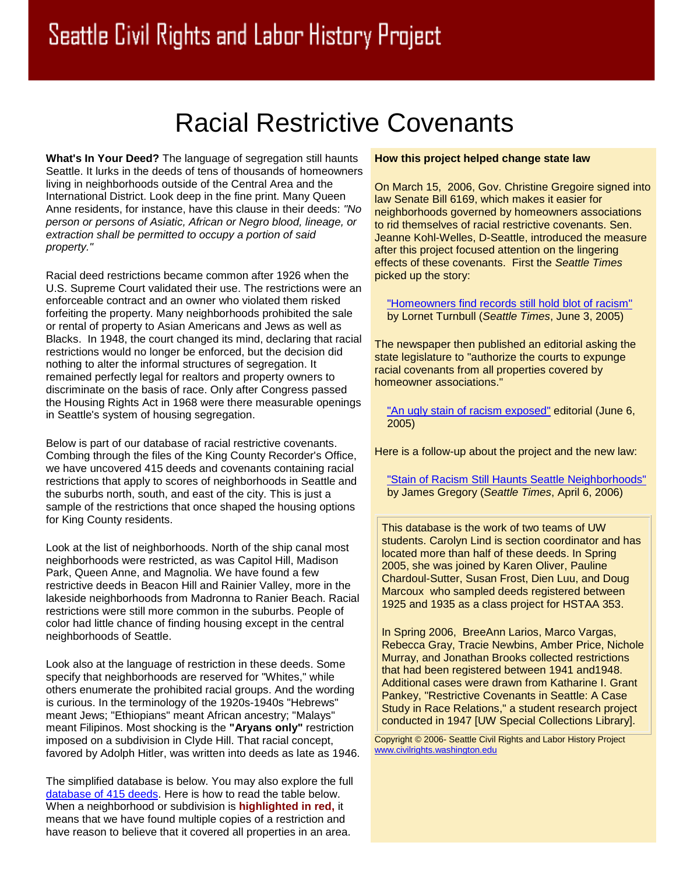## Racial Restrictive Covenants

**What's In Your Deed?** The language of segregation still haunts Seattle. It lurks in the deeds of tens of thousands of homeowners living in neighborhoods outside of the Central Area and the International District. Look deep in the fine print. Many Queen Anne residents, for instance, have this clause in their deeds: *"No person or persons of Asiatic, African or Negro blood, lineage, or extraction shall be permitted to occupy a portion of said property."*

Racial deed restrictions became common after 1926 when the U.S. Supreme Court validated their use. The restrictions were an enforceable contract and an owner who violated them risked forfeiting the property. Many neighborhoods prohibited the sale or rental of property to Asian Americans and Jews as well as Blacks. In 1948, the court changed its mind, declaring that racial restrictions would no longer be enforced, but the decision did nothing to alter the informal structures of segregation. It remained perfectly legal for realtors and property owners to discriminate on the basis of race. Only after Congress passed the Housing Rights Act in 1968 were there measurable openings in Seattle's system of housing segregation.

Below is part of our database of racial restrictive covenants. Combing through the files of the King County Recorder's Office, we have uncovered 415 deeds and covenants containing racial restrictions that apply to scores of neighborhoods in Seattle and the suburbs north, south, and east of the city. This is just a sample of the restrictions that once shaped the housing options for King County residents.

Look at the list of neighborhoods. North of the ship canal most neighborhoods were restricted, as was Capitol Hill, Madison Park, Queen Anne, and Magnolia. We have found a few restrictive deeds in Beacon Hill and Rainier Valley, more in the lakeside neighborhoods from Madronna to Ranier Beach. Racial restrictions were still more common in the suburbs. People of color had little chance of finding housing except in the central neighborhoods of Seattle.

Look also at the language of restriction in these deeds. Some specify that neighborhoods are reserved for "Whites," while others enumerate the prohibited racial groups. And the wording is curious. In the terminology of the 1920s-1940s "Hebrews" meant Jews; "Ethiopians" meant African ancestry; "Malays" meant Filipinos. Most shocking is the **"Aryans only"** restriction imposed on a subdivision in Clyde Hill. That racial concept, favored by Adolph Hitler, was written into deeds as late as 1946.

The simplified database is below. You may also explore the full [database of 415](http://depts.washington.edu/civilr/database.htm) deeds. Here is how to read the table below. When a neighborhood or subdivision is **highlighted in red,** it means that we have found multiple copies of a restriction and have reason to believe that it covered all properties in an area.

## **How this project helped change state law**

On March 15, 2006, Gov. Christine Gregoire signed into law Senate Bill 6169, which makes it easier for neighborhoods governed by homeowners associations to rid themselves of racial restrictive covenants. Sen. Jeanne Kohl-Welles, D-Seattle, introduced the measure after this project focused attention on the lingering effects of these covenants. First the *Seattle Times* picked up the story:

["Homeowners find records still hold blot of racism"](http://seattletimes.nwsource.com/html/localnews/2002297312_covenants03m.html) by Lornet Turnbull (*Seattle Times*, June 3, 2005)

The newspaper then published an editorial asking the state legislature to "authorize the courts to expunge racial covenants from all properties covered by homeowner associations."

["An ugly stain of racism exposed"](http://archives.seattletimes.nwsource.com/cgi-bin/texis.cgi/web/vortex/display?slug=coved06&date=20050606) editorial (June 6, 2005)

Here is a follow-up about the project and the new law:

["Stain of Racism Still Haunts Seattle Neighborhoods"](http://seattletimes.nwsource.com/html/opinion/2002913362_jamesgregory06.html) by James Gregory (*Seattle Times*, April 6, 2006)

This database is the work of two teams of UW students. Carolyn Lind is section coordinator and has located more than half of these deeds. In Spring 2005, she was joined by Karen Oliver, Pauline Chardoul-Sutter, Susan Frost, Dien Luu, and Doug Marcoux who sampled deeds registered between 1925 and 1935 as a class project for HSTAA 353.

In Spring 2006, BreeAnn Larios, Marco Vargas, Rebecca Gray, Tracie Newbins, Amber Price, Nichole Murray, and Jonathan Brooks collected restrictions that had been registered between 1941 and1948. Additional cases were drawn from Katharine I. Grant Pankey, "Restrictive Covenants in Seattle: A Case Study in Race Relations," a student research project conducted in 1947 [UW Special Collections Library].

Copyright © 2006- Seattle Civil Rights and Labor History Project [www.civilrights.washington.edu](http://www.civilrights.washington.edu/)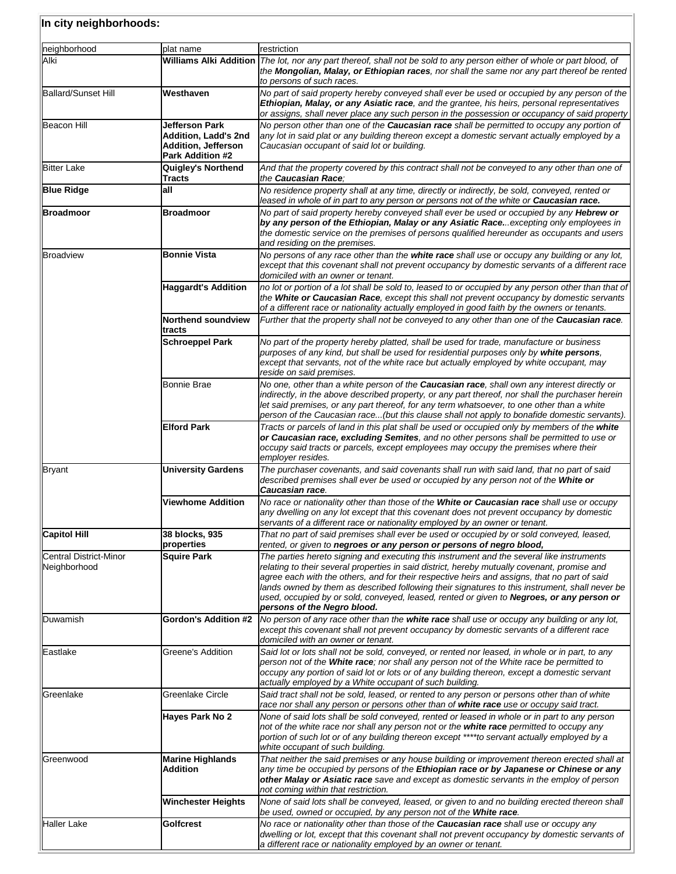| neighborhood                           | plat name                                                                                       | restriction                                                                                                                                                                                                                                                                                                                                                                                                                                                                                                             |
|----------------------------------------|-------------------------------------------------------------------------------------------------|-------------------------------------------------------------------------------------------------------------------------------------------------------------------------------------------------------------------------------------------------------------------------------------------------------------------------------------------------------------------------------------------------------------------------------------------------------------------------------------------------------------------------|
| Alki                                   |                                                                                                 | Williams Alki Addition The lot, nor any part thereof, shall not be sold to any person either of whole or part blood, of<br>the Mongolian, Malay, or Ethiopian races, nor shall the same nor any part thereof be rented<br>to persons of such races.                                                                                                                                                                                                                                                                     |
| <b>Ballard/Sunset Hill</b>             | Westhaven                                                                                       | No part of said property hereby conveyed shall ever be used or occupied by any person of the<br>Ethiopian, Malay, or any Asiatic race, and the grantee, his heirs, personal representatives<br>or assigns, shall never place any such person in the possession or occupancy of said property                                                                                                                                                                                                                            |
| Beacon Hill                            | Jefferson Park<br>Addition, Ladd's 2nd<br><b>Addition, Jefferson</b><br><b>Park Addition #2</b> | No person other than one of the <b>Caucasian race</b> shall be permitted to occupy any portion of<br>any lot in said plat or any building thereon except a domestic servant actually employed by a<br>Caucasian occupant of said lot or building.                                                                                                                                                                                                                                                                       |
| <b>Bitter Lake</b>                     | <b>Quigley's Northend</b><br>Tracts                                                             | And that the property covered by this contract shall not be conveyed to any other than one of<br>the Caucasian Race:                                                                                                                                                                                                                                                                                                                                                                                                    |
| <b>Blue Ridge</b>                      | all                                                                                             | No residence property shall at any time, directly or indirectly, be sold, conveyed, rented or<br>leased in whole of in part to any person or persons not of the white or <b>Caucasian race.</b>                                                                                                                                                                                                                                                                                                                         |
| Broadmoor                              | <b>Broadmoor</b>                                                                                | No part of said property hereby conveyed shall ever be used or occupied by any Hebrew or<br>by any person of the Ethiopian, Malay or any Asiatic Raceexcepting only employees in<br>the domestic service on the premises of persons qualified hereunder as occupants and users<br>and residing on the premises.                                                                                                                                                                                                         |
| <b>Broadview</b>                       | <b>Bonnie Vista</b>                                                                             | No persons of any race other than the white race shall use or occupy any building or any lot,<br>except that this covenant shall not prevent occupancy by domestic servants of a different race<br>domiciled with an owner or tenant.                                                                                                                                                                                                                                                                                   |
|                                        | <b>Haggardt's Addition</b>                                                                      | no lot or portion of a lot shall be sold to, leased to or occupied by any person other than that of<br>the White or Caucasian Race, except this shall not prevent occupancy by domestic servants<br>of a different race or nationality actually employed in good faith by the owners or tenants.                                                                                                                                                                                                                        |
|                                        | <b>Northend soundview</b><br>tracts                                                             | Further that the property shall not be conveyed to any other than one of the <b>Caucasian race</b> .                                                                                                                                                                                                                                                                                                                                                                                                                    |
|                                        | <b>Schroeppel Park</b>                                                                          | No part of the property hereby platted, shall be used for trade, manufacture or business<br>purposes of any kind, but shall be used for residential purposes only by white persons,<br>except that servants, not of the white race but actually employed by white occupant, may<br>reside on said premises.                                                                                                                                                                                                             |
|                                        | Bonnie Brae                                                                                     | No one, other than a white person of the <b>Caucasian race</b> , shall own any interest directly or<br>indirectly, in the above described property, or any part thereof, nor shall the purchaser herein<br>let said premises, or any part thereof, for any term whatsoever, to one other than a white<br>person of the Caucasian race(but this clause shall not apply to bonafide domestic servants)                                                                                                                    |
|                                        | <b>Elford Park</b>                                                                              | Tracts or parcels of land in this plat shall be used or occupied only by members of the white<br>or Caucasian race, excluding Semites, and no other persons shall be permitted to use or<br>occupy said tracts or parcels, except employees may occupy the premises where their<br>employer resides.                                                                                                                                                                                                                    |
| <b>Bryant</b>                          | <b>University Gardens</b>                                                                       | The purchaser covenants, and said covenants shall run with said land, that no part of said<br>described premises shall ever be used or occupied by any person not of the White or<br>Caucasian race.                                                                                                                                                                                                                                                                                                                    |
|                                        | <b>Viewhome Addition</b>                                                                        | No race or nationality other than those of the White or Caucasian race shall use or occupy<br>any dwelling on any lot except that this covenant does not prevent occupancy by domestic<br>servants of a different race or nationality employed by an owner or tenant.                                                                                                                                                                                                                                                   |
| <b>Capitol Hill</b>                    | 38 blocks, 935<br>properties                                                                    | That no part of said premises shall ever be used or occupied by or sold conveyed, leased,<br>rented, or given to negroes or any person or persons of negro blood,                                                                                                                                                                                                                                                                                                                                                       |
| Central District-Minor<br>Neighborhood | <b>Squire Park</b>                                                                              | The parties hereto signing and executing this instrument and the several like instruments<br>relating to their several properties in said district, hereby mutually covenant, promise and<br>agree each with the others, and for their respective heirs and assigns, that no part of said<br>lands owned by them as described following their signatures to this instrument, shall never be<br>used, occupied by or sold, conveyed, leased, rented or given to Negroes, or any person or<br>persons of the Negro blood. |
| Duwamish                               | <b>Gordon's Addition #2</b>                                                                     | No person of any race other than the white race shall use or occupy any building or any lot,<br>except this covenant shall not prevent occupancy by domestic servants of a different race<br>domiciled with an owner or tenant.                                                                                                                                                                                                                                                                                         |
| Eastlake                               | Greene's Addition                                                                               | Said lot or lots shall not be sold, conveyed, or rented nor leased, in whole or in part, to any<br>person not of the White race; nor shall any person not of the White race be permitted to<br>occupy any portion of said lot or lots or of any building thereon, except a domestic servant<br>actually employed by a White occupant of such building.                                                                                                                                                                  |
| Greenlake                              | Greenlake Circle                                                                                | Said tract shall not be sold, leased, or rented to any person or persons other than of white<br>race nor shall any person or persons other than of white race use or occupy said tract.                                                                                                                                                                                                                                                                                                                                 |
|                                        | Hayes Park No 2                                                                                 | None of said lots shall be sold conveyed, rented or leased in whole or in part to any person<br>not of the white race nor shall any person not or the white race permitted to occupy any<br>portion of such lot or of any building thereon except ****to servant actually employed by a<br>white occupant of such building.                                                                                                                                                                                             |
| Greenwood                              | <b>Marine Highlands</b><br><b>Addition</b>                                                      | That neither the said premises or any house building or improvement thereon erected shall at<br>any time be occupied by persons of the Ethiopian race or by Japanese or Chinese or any<br>other Malay or Asiatic race save and except as domestic servants in the employ of person<br>not coming within that restriction.                                                                                                                                                                                               |
|                                        | <b>Winchester Heights</b>                                                                       | None of said lots shall be conveyed, leased, or given to and no building erected thereon shall<br>be used, owned or occupied, by any person not of the White race.                                                                                                                                                                                                                                                                                                                                                      |
| Haller Lake                            | Golfcrest                                                                                       | No race or nationality other than those of the Caucasian race shall use or occupy any<br>dwelling or lot, except that this covenant shall not prevent occupancy by domestic servants of<br>a different race or nationality employed by an owner or tenant.                                                                                                                                                                                                                                                              |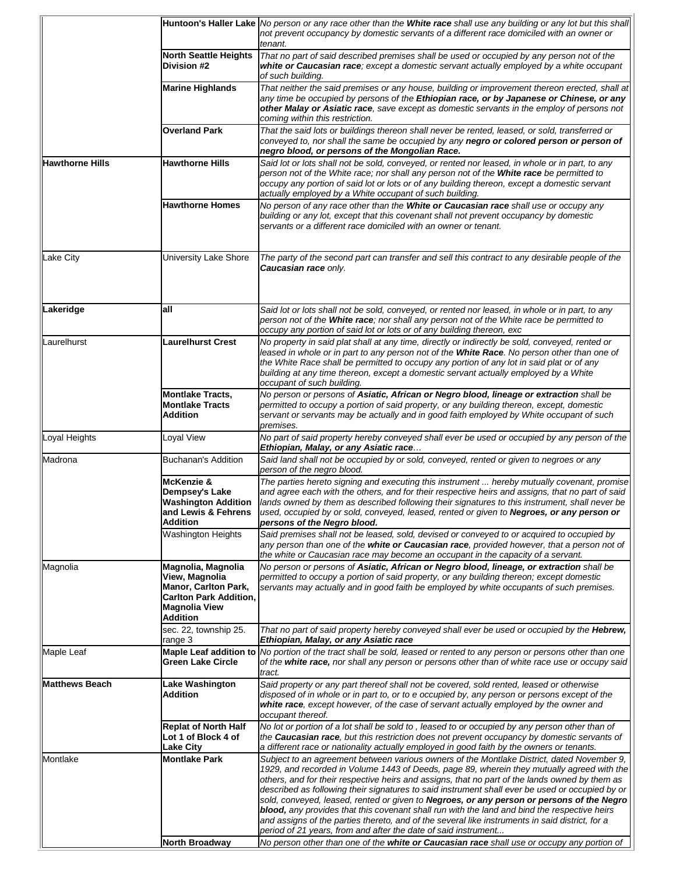|                        |                                                                                                                                          | Huntoon's Haller Lake No person or any race other than the White race shall use any building or any lot but this shall<br>not prevent occupancy by domestic servants of a different race domiciled with an owner or                                                                                                                                                                                                                                                                                                                                                                                                                                                                                                                                                    |
|------------------------|------------------------------------------------------------------------------------------------------------------------------------------|------------------------------------------------------------------------------------------------------------------------------------------------------------------------------------------------------------------------------------------------------------------------------------------------------------------------------------------------------------------------------------------------------------------------------------------------------------------------------------------------------------------------------------------------------------------------------------------------------------------------------------------------------------------------------------------------------------------------------------------------------------------------|
|                        |                                                                                                                                          | tenant.                                                                                                                                                                                                                                                                                                                                                                                                                                                                                                                                                                                                                                                                                                                                                                |
|                        | <b>North Seattle Heights</b><br>Division #2                                                                                              | That no part of said described premises shall be used or occupied by any person not of the<br>white or Caucasian race; except a domestic servant actually employed by a white occupant<br>of such building.                                                                                                                                                                                                                                                                                                                                                                                                                                                                                                                                                            |
|                        | <b>Marine Highlands</b>                                                                                                                  | That neither the said premises or any house, building or improvement thereon erected, shall at<br>any time be occupied by persons of the Ethiopian race, or by Japanese or Chinese, or any<br>other Malay or Asiatic race, save except as domestic servants in the employ of persons not<br>coming within this restriction.                                                                                                                                                                                                                                                                                                                                                                                                                                            |
|                        | <b>Overland Park</b>                                                                                                                     | That the said lots or buildings thereon shall never be rented, leased, or sold, transferred or<br>conveyed to, nor shall the same be occupied by any negro or colored person or person of<br>negro blood, or persons of the Mongolian Race.                                                                                                                                                                                                                                                                                                                                                                                                                                                                                                                            |
| <b>Hawthorne Hills</b> | <b>Hawthorne Hills</b>                                                                                                                   | Said lot or lots shall not be sold, conveyed, or rented nor leased, in whole or in part, to any<br>person not of the White race; nor shall any person not of the White race be permitted to<br>occupy any portion of said lot or lots or of any building thereon, except a domestic servant<br>actually employed by a White occupant of such building.                                                                                                                                                                                                                                                                                                                                                                                                                 |
|                        | <b>Hawthorne Homes</b>                                                                                                                   | No person of any race other than the <b>White or Caucasian race</b> shall use or occupy any<br>building or any lot, except that this covenant shall not prevent occupancy by domestic<br>servants or a different race domiciled with an owner or tenant.                                                                                                                                                                                                                                                                                                                                                                                                                                                                                                               |
| Lake City              | University Lake Shore                                                                                                                    | The party of the second part can transfer and sell this contract to any desirable people of the<br>Caucasian race only.                                                                                                                                                                                                                                                                                                                                                                                                                                                                                                                                                                                                                                                |
| Lakeridge              | all                                                                                                                                      | Said lot or lots shall not be sold, conveyed, or rented nor leased, in whole or in part, to any<br>person not of the White race; nor shall any person not of the White race be permitted to<br>occupy any portion of said lot or lots or of any building thereon, exc                                                                                                                                                                                                                                                                                                                                                                                                                                                                                                  |
| Laurelhurst            | Laurelhurst Crest                                                                                                                        | No property in said plat shall at any time, directly or indirectly be sold, conveyed, rented or<br>leased in whole or in part to any person not of the White Race. No person other than one of<br>the White Race shall be permitted to occupy any portion of any lot in said plat or of any<br>building at any time thereon, except a domestic servant actually employed by a White<br>occupant of such building.                                                                                                                                                                                                                                                                                                                                                      |
|                        | <b>Montlake Tracts,</b><br><b>Montlake Tracts</b><br>Addition                                                                            | No person or persons of Asiatic, African or Negro blood, lineage or extraction shall be<br>permitted to occupy a portion of said property, or any building thereon, except, domestic<br>servant or servants may be actually and in good faith employed by White occupant of such<br>premises.                                                                                                                                                                                                                                                                                                                                                                                                                                                                          |
| Loyal Heights          | Loyal View                                                                                                                               | No part of said property hereby conveyed shall ever be used or occupied by any person of the<br>Ethiopian, Malay, or any Asiatic race                                                                                                                                                                                                                                                                                                                                                                                                                                                                                                                                                                                                                                  |
| Madrona                | Buchanan's Addition                                                                                                                      | Said land shall not be occupied by or sold, conveyed, rented or given to negroes or any<br>person of the negro blood.                                                                                                                                                                                                                                                                                                                                                                                                                                                                                                                                                                                                                                                  |
|                        | McKenzie &<br>Dempsey's Lake<br><b>Washington Addition</b><br>and Lewis & Fehrens<br><b>Addition</b>                                     | The parties hereto signing and executing this instrument  hereby mutually covenant, promise<br>and agree each with the others, and for their respective heirs and assigns, that no part of said<br>lands owned by them as described following their signatures to this instrument, shall never be<br>used, occupied by or sold, conveyed, leased, rented or given to Negroes, or any person or<br>persons of the Negro blood.                                                                                                                                                                                                                                                                                                                                          |
|                        | Washington Heights                                                                                                                       | Said premises shall not be leased, sold, devised or conveyed to or acquired to occupied by<br>any person than one of the white or Caucasian race, provided however, that a person not of<br>the white or Caucasian race may become an occupant in the capacity of a servant.                                                                                                                                                                                                                                                                                                                                                                                                                                                                                           |
| Magnolia               | Magnolia, Magnolia<br>View, Magnolia<br><b>Manor, Carlton Park,</b><br><b>Carlton Park Addition.</b><br><b>Magnolia View</b><br>Addition | No person or persons of Asiatic, African or Negro blood, lineage, or extraction shall be<br>permitted to occupy a portion of said property, or any building thereon; except domestic<br>servants may actually and in good faith be employed by white occupants of such premises.                                                                                                                                                                                                                                                                                                                                                                                                                                                                                       |
|                        | sec. 22, township 25.<br>range 3                                                                                                         | That no part of said property hereby conveyed shall ever be used or occupied by the Hebrew,<br>Ethiopian, Malay, or any Asiatic race                                                                                                                                                                                                                                                                                                                                                                                                                                                                                                                                                                                                                                   |
| Maple Leaf             | Green Lake Circle                                                                                                                        | Maple Leaf addition to No portion of the tract shall be sold, leased or rented to any person or persons other than one<br>of the white race, nor shall any person or persons other than of white race use or occupy said<br>tract.                                                                                                                                                                                                                                                                                                                                                                                                                                                                                                                                     |
| <b>Matthews Beach</b>  | Lake Washington<br>Addition                                                                                                              | Said property or any part thereof shall not be covered, sold rented, leased or otherwise<br>disposed of in whole or in part to, or to e occupied by, any person or persons except of the<br>white race, except however, of the case of servant actually employed by the owner and<br>occupant thereof.                                                                                                                                                                                                                                                                                                                                                                                                                                                                 |
|                        | <b>Replat of North Half</b><br>Lot 1 of Block 4 of<br><b>Lake City</b>                                                                   | No lot or portion of a lot shall be sold to, leased to or occupied by any person other than of<br>the <b>Caucasian race</b> , but this restriction does not prevent occupancy by domestic servants of<br>a different race or nationality actually employed in good faith by the owners or tenants.                                                                                                                                                                                                                                                                                                                                                                                                                                                                     |
| Montlake               | <b>Montlake Park</b>                                                                                                                     | Subject to an agreement between various owners of the Montlake District, dated November 9,<br>1929, and recorded in Volume 1443 of Deeds, page 89, wherein they mutually agreed with the<br>others, and for their respective heirs and assigns, that no part of the lands owned by them as<br>described as following their signatures to said instrument shall ever be used or occupied by or<br>sold, conveyed, leased, rented or given to <b>Negroes, or any person or persons of the Negro</b><br>blood, any provides that this covenant shall run with the land and bind the respective heirs<br>and assigns of the parties thereto, and of the several like instruments in said district, for a<br>period of 21 years, from and after the date of said instrument |
|                        | <b>North Broadway</b>                                                                                                                    | No person other than one of the <b>white or Caucasian race</b> shall use or occupy any portion of                                                                                                                                                                                                                                                                                                                                                                                                                                                                                                                                                                                                                                                                      |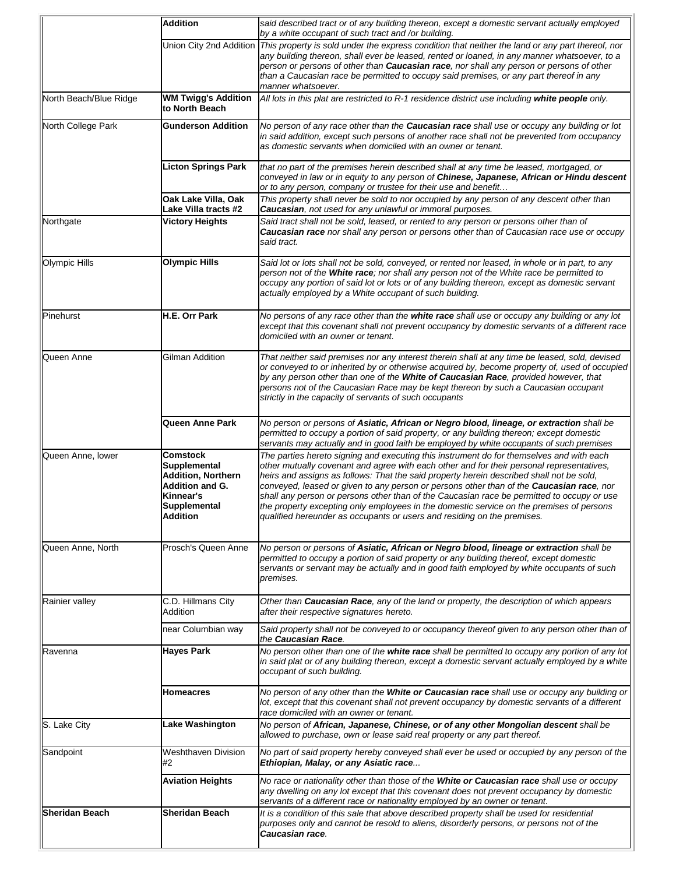|                        | <b>Addition</b>                                                                                                                        | said described tract or of any building thereon, except a domestic servant actually employed<br>by a white occupant of such tract and /or building.                                                                                                                                                                                                                                                                                                                                                                                                                                                                                                        |
|------------------------|----------------------------------------------------------------------------------------------------------------------------------------|------------------------------------------------------------------------------------------------------------------------------------------------------------------------------------------------------------------------------------------------------------------------------------------------------------------------------------------------------------------------------------------------------------------------------------------------------------------------------------------------------------------------------------------------------------------------------------------------------------------------------------------------------------|
|                        | Union City 2nd Addition                                                                                                                | This property is sold under the express condition that neither the land or any part thereof, nor<br>any building thereon, shall ever be leased, rented or loaned, in any manner whatsoever, to a<br>person or persons of other than <b>Caucasian race</b> , nor shall any person or persons of other<br>than a Caucasian race be permitted to occupy said premises, or any part thereof in any<br>manner whatsoever.                                                                                                                                                                                                                                       |
| North Beach/Blue Ridge | <b>WM Twigg's Addition</b><br>to North Beach                                                                                           | All lots in this plat are restricted to R-1 residence district use including white people only.                                                                                                                                                                                                                                                                                                                                                                                                                                                                                                                                                            |
| North College Park     | <b>Gunderson Addition</b>                                                                                                              | No person of any race other than the <b>Caucasian race</b> shall use or occupy any building or lot<br>in said addition, except such persons of another race shall not be prevented from occupancy<br>as domestic servants when domiciled with an owner or tenant.                                                                                                                                                                                                                                                                                                                                                                                          |
|                        | <b>Licton Springs Park</b>                                                                                                             | that no part of the premises herein described shall at any time be leased, mortgaged, or<br>conveyed in law or in equity to any person of Chinese, Japanese, African or Hindu descent<br>or to any person, company or trustee for their use and benefit                                                                                                                                                                                                                                                                                                                                                                                                    |
|                        | Oak Lake Villa, Oak<br>Lake Villa tracts #2                                                                                            | This property shall never be sold to nor occupied by any person of any descent other than<br>Caucasian, not used for any unlawful or immoral purposes.                                                                                                                                                                                                                                                                                                                                                                                                                                                                                                     |
| Northgate              | <b>Victory Heights</b>                                                                                                                 | Said tract shall not be sold, leased, or rented to any person or persons other than of<br>Caucasian race nor shall any person or persons other than of Caucasian race use or occupy<br>said tract.                                                                                                                                                                                                                                                                                                                                                                                                                                                         |
| Olympic Hills          | <b>Olympic Hills</b>                                                                                                                   | Said lot or lots shall not be sold, conveyed, or rented nor leased, in whole or in part, to any<br>person not of the White race; nor shall any person not of the White race be permitted to<br>occupy any portion of said lot or lots or of any building thereon, except as domestic servant<br>actually employed by a White occupant of such building.                                                                                                                                                                                                                                                                                                    |
| Pinehurst              | H.E. Orr Park                                                                                                                          | No persons of any race other than the white race shall use or occupy any building or any lot<br>except that this covenant shall not prevent occupancy by domestic servants of a different race<br>domiciled with an owner or tenant.                                                                                                                                                                                                                                                                                                                                                                                                                       |
| Queen Anne             | Gilman Addition                                                                                                                        | That neither said premises nor any interest therein shall at any time be leased, sold, devised<br>or conveyed to or inherited by or otherwise acquired by, become property of, used of occupied<br>by any person other than one of the White of Caucasian Race, provided however, that<br>persons not of the Caucasian Race may be kept thereon by such a Caucasian occupant<br>strictly in the capacity of servants of such occupants                                                                                                                                                                                                                     |
|                        | <b>Queen Anne Park</b>                                                                                                                 | No person or persons of Asiatic, African or Negro blood, lineage, or extraction shall be<br>permitted to occupy a portion of said property, or any building thereon; except domestic<br>servants may actually and in good faith be employed by white occupants of such premises                                                                                                                                                                                                                                                                                                                                                                            |
| Queen Anne, lower      | Comstock<br><b>Supplemental</b><br><b>Addition, Northern</b><br>Addition and G.<br>Kinnear's<br><b>Supplemental</b><br><b>Addition</b> | The parties hereto signing and executing this instrument do for themselves and with each<br>other mutually covenant and agree with each other and for their personal representatives,<br>heirs and assigns as follows: That the said property herein described shall not be sold,<br>conveyed, leased or given to any person or persons other than of the <b>Caucasian race</b> , nor<br>shall any person or persons other than of the Caucasian race be permitted to occupy or use<br>the property excepting only employees in the domestic service on the premises of persons<br>qualified hereunder as occupants or users and residing on the premises. |
| Queen Anne, North      | Prosch's Queen Anne                                                                                                                    | No person or persons of Asiatic, African or Negro blood, lineage or extraction shall be<br>permitted to occupy a portion of said property or any building thereof, except domestic<br>servants or servant may be actually and in good faith employed by white occupants of such<br>premises.                                                                                                                                                                                                                                                                                                                                                               |
| Rainier valley         | C.D. Hillmans City<br>Addition                                                                                                         | Other than Caucasian Race, any of the land or property, the description of which appears<br>after their respective signatures hereto.                                                                                                                                                                                                                                                                                                                                                                                                                                                                                                                      |
|                        | near Columbian way                                                                                                                     | Said property shall not be conveyed to or occupancy thereof given to any person other than of<br>the Caucasian Race.                                                                                                                                                                                                                                                                                                                                                                                                                                                                                                                                       |
| Ravenna                | <b>Hayes Park</b>                                                                                                                      | No person other than one of the white race shall be permitted to occupy any portion of any lot<br>in said plat or of any building thereon, except a domestic servant actually employed by a white<br>occupant of such building.                                                                                                                                                                                                                                                                                                                                                                                                                            |
|                        | Homeacres                                                                                                                              | No person of any other than the White or Caucasian race shall use or occupy any building or<br>lot, except that this covenant shall not prevent occupancy by domestic servants of a different<br>race domiciled with an owner or tenant.                                                                                                                                                                                                                                                                                                                                                                                                                   |
| S. Lake City           | Lake Washington                                                                                                                        | No person of African, Japanese, Chinese, or of any other Mongolian descent shall be<br>allowed to purchase, own or lease said real property or any part thereof.                                                                                                                                                                                                                                                                                                                                                                                                                                                                                           |
| Sandpoint              | Weshthaven Division<br>#2                                                                                                              | No part of said property hereby conveyed shall ever be used or occupied by any person of the<br>Ethiopian, Malay, or any Asiatic race                                                                                                                                                                                                                                                                                                                                                                                                                                                                                                                      |
|                        | <b>Aviation Heights</b>                                                                                                                | No race or nationality other than those of the White or Caucasian race shall use or occupy<br>any dwelling on any lot except that this covenant does not prevent occupancy by domestic<br>servants of a different race or nationality employed by an owner or tenant.                                                                                                                                                                                                                                                                                                                                                                                      |
| <b>Sheridan Beach</b>  | Sheridan Beach                                                                                                                         | It is a condition of this sale that above described property shall be used for residential<br>purposes only and cannot be resold to aliens, disorderly persons, or persons not of the<br>Caucasian race.                                                                                                                                                                                                                                                                                                                                                                                                                                                   |